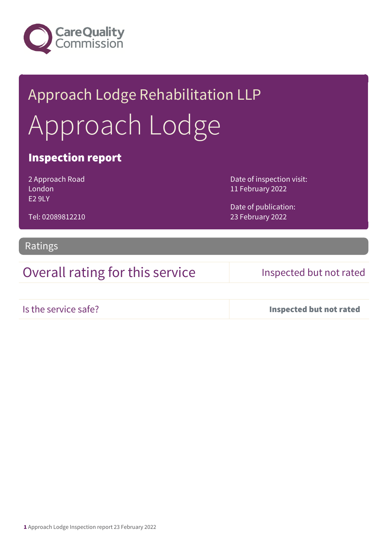

# Approach Lodge Rehabilitation LLP Approach Lodge

### Inspection report

2 Approach Road London E2 9LY

Tel: 02089812210

Date of inspection visit: 11 February 2022

Date of publication: 23 February 2022

Ratings

## Overall rating for this service Inspected but not rated

Is the service safe? Inspected but not rated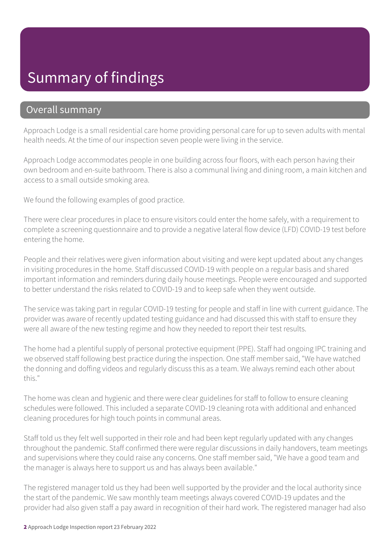# Summary of findings

### Overall summary

Approach Lodge is a small residential care home providing personal care for up to seven adults with mental health needs. At the time of our inspection seven people were living in the service.

Approach Lodge accommodates people in one building across four floors, with each person having their own bedroom and en-suite bathroom. There is also a communal living and dining room, a main kitchen and access to a small outside smoking area.

We found the following examples of good practice.

There were clear procedures in place to ensure visitors could enter the home safely, with a requirement to complete a screening questionnaire and to provide a negative lateral flow device (LFD) COVID-19 test before entering the home.

People and their relatives were given information about visiting and were kept updated about any changes in visiting procedures in the home. Staff discussed COVID-19 with people on a regular basis and shared important information and reminders during daily house meetings. People were encouraged and supported to better understand the risks related to COVID-19 and to keep safe when they went outside.

The service was taking part in regular COVID-19 testing for people and staff in line with current guidance. The provider was aware of recently updated testing guidance and had discussed this with staff to ensure they were all aware of the new testing regime and how they needed to report their test results.

The home had a plentiful supply of personal protective equipment (PPE). Staff had ongoing IPC training and we observed staff following best practice during the inspection. One staff member said, "We have watched the donning and doffing videos and regularly discuss this as a team. We always remind each other about this."

The home was clean and hygienic and there were clear guidelines for staff to follow to ensure cleaning schedules were followed. This included a separate COVID-19 cleaning rota with additional and enhanced cleaning procedures for high touch points in communal areas.

Staff told us they felt well supported in their role and had been kept regularly updated with any changes throughout the pandemic. Staff confirmed there were regular discussions in daily handovers, team meetings and supervisions where they could raise any concerns. One staff member said, "We have a good team and the manager is always here to support us and has always been available."

The registered manager told us they had been well supported by the provider and the local authority since the start of the pandemic. We saw monthly team meetings always covered COVID-19 updates and the provider had also given staff a pay award in recognition of their hard work. The registered manager had also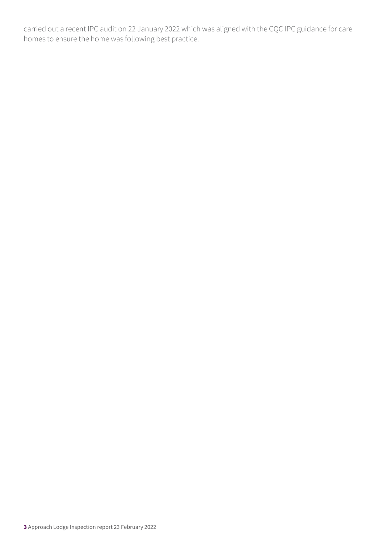carried out a recent IPC audit on 22 January 2022 which was aligned with the CQC IPC guidance for care homes to ensure the home was following best practice.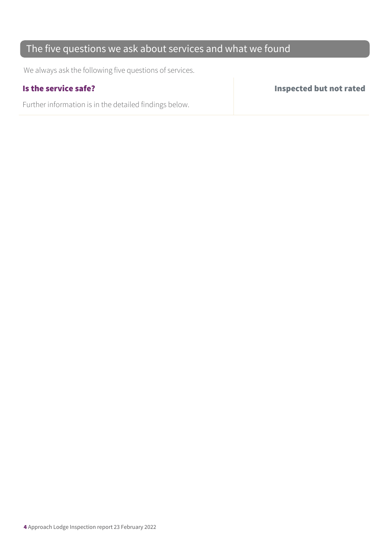## The five questions we ask about services and what we found

We always ask the following five questions of services.

Further information is in the detailed findings below.

Is the service safe? Inspected but not rated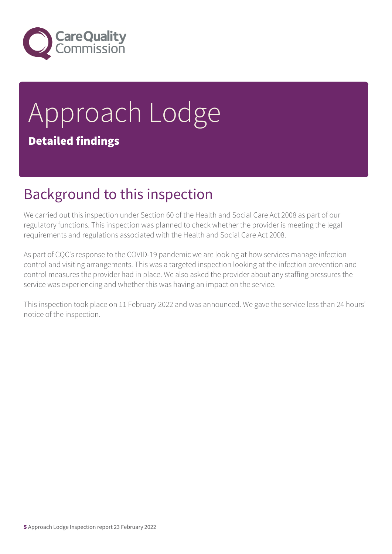

# Approach Lodge Detailed findings

# Background to this inspection

We carried out this inspection under Section 60 of the Health and Social Care Act 2008 as part of our regulatory functions. This inspection was planned to check whether the provider is meeting the legal requirements and regulations associated with the Health and Social Care Act 2008.

As part of CQC's response to the COVID-19 pandemic we are looking at how services manage infection control and visiting arrangements. This was a targeted inspection looking at the infection prevention and control measures the provider had in place. We also asked the provider about any staffing pressures the service was experiencing and whether this was having an impact on the service.

This inspection took place on 11 February 2022 and was announced. We gave the service less than 24 hours' notice of the inspection.